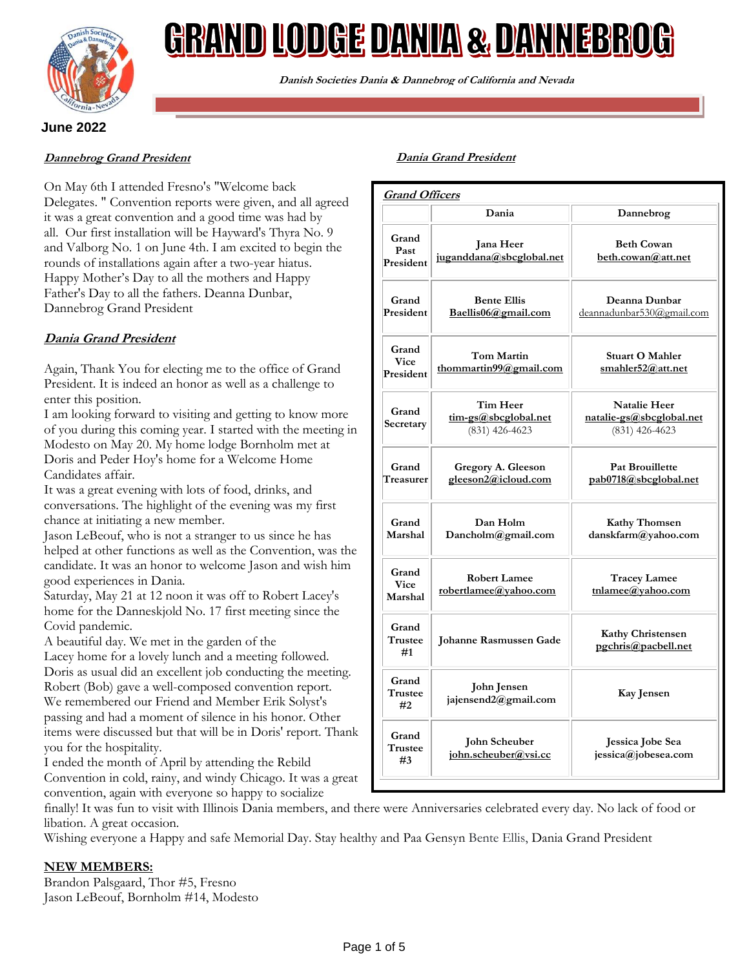

# <u>GRAND LODGE DANIA & DANNEBROG</u>

**Danish Societies Dania & Dannebrog of California and Nevada**

# **June 2022**

## **Dannebrog Grand President**

On May 6th I attended Fresno's "Welcome back Delegates. " Convention reports were given, and all agreed it was a great convention and a good time was had by all. Our first installation will be Hayward's Thyra No. 9 and Valborg No. 1 on June 4th. I am excited to begin the rounds of installations again after a two-year hiatus. Happy Mother's Day to all the mothers and Happy Father's Day to all the fathers. Deanna Dunbar, Dannebrog Grand President

# **Dania Grand President**

Again, Thank You for electing me to the office of Grand President. It is indeed an honor as well as a challenge to enter this position.

I am looking forward to visiting and getting to know more of you during this coming year. I started with the meeting in Modesto on May 20. My home lodge Bornholm met at Doris and Peder Hoy's home for a Welcome Home Candidates affair.

It was a great evening with lots of food, drinks, and conversations. The highlight of the evening was my first chance at initiating a new member.

Jason LeBeouf, who is not a stranger to us since he has helped at other functions as well as the Convention, was the candidate. It was an honor to welcome Jason and wish him good experiences in Dania.

Saturday, May 21 at 12 noon it was off to Robert Lacey's home for the Danneskjold No. 17 first meeting since the Covid pandemic.

A beautiful day. We met in the garden of the

Lacey home for a lovely lunch and a meeting followed. Doris as usual did an excellent job conducting the meeting. Robert (Bob) gave a well-composed convention report. We remembered our Friend and Member Erik Solyst's passing and had a moment of silence in his honor. Other items were discussed but that will be in Doris' report. Thank you for the hospitality.

I ended the month of April by attending the Rebild Convention in cold, rainy, and windy Chicago. It was a great convention, again with everyone so happy to socialize

# **Dania Grand President**

| Dania<br>Grand<br>Jana Heer<br>Past<br>juganddana@sbcglobal.net<br>President<br><b>Bente Ellis</b><br>Grand<br>President<br>Baellis06@gmail.com<br>Grand<br><b>Tom Martin</b><br><b>Vice</b><br>thommartin99@gmail.com<br>President<br>Tim Heer<br>Grand<br>tim-gs@sbcglobal.net<br>Secretary<br>$(831)$ 426-4623<br>Grand<br>Gregory A. Gleeson<br>gleeson2@icloud.com<br>Treasurer<br>Grand<br>Dan Holm<br>Marshal<br>Dancholm@gmail.com<br>Grand<br><b>Robert Lamee</b><br><b>Vice</b><br>robertlamee@yahoo.com<br>Marshal<br>Grand<br>Trustee<br>Johanne Rasmussen Gade<br>#1<br>Grand<br>John Jensen<br>Trustee<br>jajensend2@gmail.com<br>#2 | <b>Grand Officers</b> |  |                                                                     |  |  |  |
|----------------------------------------------------------------------------------------------------------------------------------------------------------------------------------------------------------------------------------------------------------------------------------------------------------------------------------------------------------------------------------------------------------------------------------------------------------------------------------------------------------------------------------------------------------------------------------------------------------------------------------------------------|-----------------------|--|---------------------------------------------------------------------|--|--|--|
|                                                                                                                                                                                                                                                                                                                                                                                                                                                                                                                                                                                                                                                    |                       |  | Dannebrog                                                           |  |  |  |
|                                                                                                                                                                                                                                                                                                                                                                                                                                                                                                                                                                                                                                                    |                       |  | <b>Beth Cowan</b><br>beth.cowan@att.net                             |  |  |  |
|                                                                                                                                                                                                                                                                                                                                                                                                                                                                                                                                                                                                                                                    |                       |  | Deanna Dunbar<br>deannadunbar530@gmail.com                          |  |  |  |
|                                                                                                                                                                                                                                                                                                                                                                                                                                                                                                                                                                                                                                                    |                       |  | <b>Stuart O Mahler</b><br>smahler52@att.net                         |  |  |  |
|                                                                                                                                                                                                                                                                                                                                                                                                                                                                                                                                                                                                                                                    |                       |  | <b>Natalie Heer</b><br>natalie-gs@sbcglobal.net<br>$(831)$ 426-4623 |  |  |  |
|                                                                                                                                                                                                                                                                                                                                                                                                                                                                                                                                                                                                                                                    |                       |  | <b>Pat Brouillette</b><br>pab0718@sbcglobal.net                     |  |  |  |
|                                                                                                                                                                                                                                                                                                                                                                                                                                                                                                                                                                                                                                                    |                       |  | <b>Kathy Thomsen</b><br>danskfarm@yahoo.com                         |  |  |  |
|                                                                                                                                                                                                                                                                                                                                                                                                                                                                                                                                                                                                                                                    |                       |  | <b>Tracey Lamee</b><br>tnlamee@yahoo.com                            |  |  |  |
|                                                                                                                                                                                                                                                                                                                                                                                                                                                                                                                                                                                                                                                    |                       |  | Kathy Christensen<br>pgchris@pacbell.net                            |  |  |  |
|                                                                                                                                                                                                                                                                                                                                                                                                                                                                                                                                                                                                                                                    |                       |  | Kay Jensen                                                          |  |  |  |
| Grand<br>John Scheuber<br>Trustee<br>john.scheuber@vsi.cc<br>#3                                                                                                                                                                                                                                                                                                                                                                                                                                                                                                                                                                                    |                       |  | Jessica Jobe Sea<br>jessica@jobesea.com                             |  |  |  |

finally! It was fun to visit with Illinois Dania members, and there were Anniversaries celebrated every day. No lack of food or libation. A great occasion.

Wishing everyone a Happy and safe Memorial Day. Stay healthy and Paa Gensyn Bente Ellis, Dania Grand President

## **NEW MEMBERS:**

Brandon Palsgaard, Thor #5, Fresno Jason LeBeouf, Bornholm #14, Modesto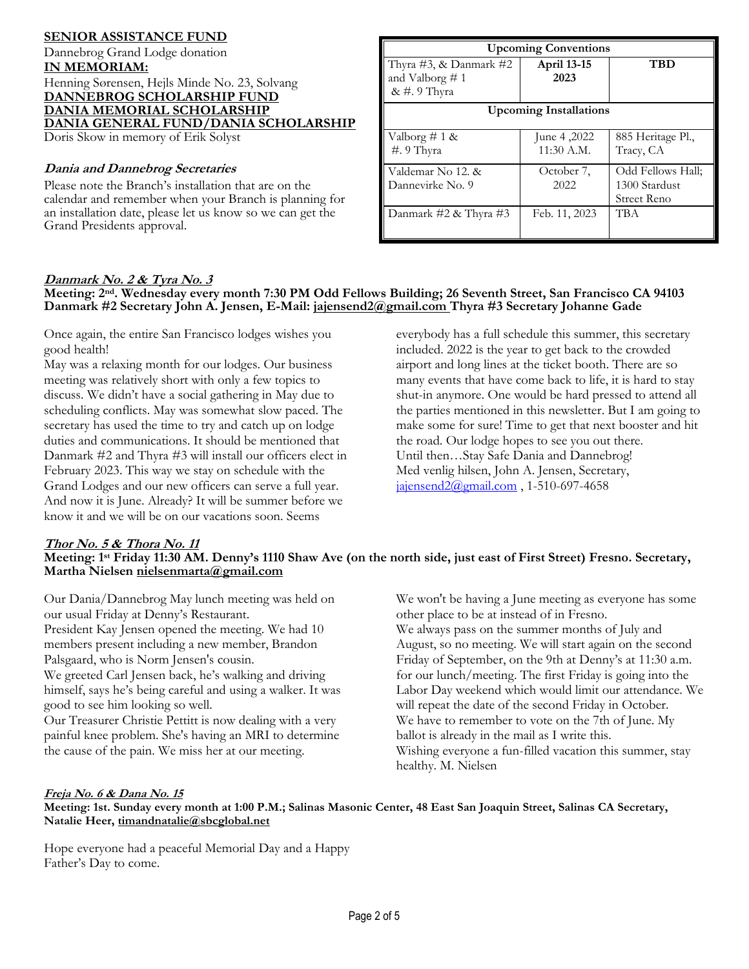## **SENIOR ASSISTANCE FUND**

## Dannebrog Grand Lodge donation **IN MEMORIAM:** Henning Sørensen, Hejls Minde No. 23, Solvang **DANNEBROG SCHOLARSHIP FUND DANIA MEMORIAL SCHOLARSHIP DANIA GENERAL FUND/DANIA SCHOLARSHIP**

Doris Skow in memory of Erik Solyst

#### **Dania and Dannebrog Secretaries**

Please note the Branch's installation that are on the calendar and remember when your Branch is planning for an installation date, please let us know so we can get the Grand Presidents approval.

| <b>Upcoming Conventions</b>                                     |                            |                                                   |  |  |  |
|-----------------------------------------------------------------|----------------------------|---------------------------------------------------|--|--|--|
| Thyra #3, & Danmark #2<br>and Valborg $# 1$<br>& $\#$ . 9 Thyra | <b>April 13-15</b><br>2023 | TBD                                               |  |  |  |
| <b>Upcoming Installations</b>                                   |                            |                                                   |  |  |  |
| Valborg $# 1 &$<br>#. 9 Thyra                                   | June 4,2022<br>11:30 A.M.  | 885 Heritage Pl.,<br>Tracy, CA                    |  |  |  |
| Valdemar No 12. &<br>Dannevirke No. 9                           | October 7,<br>2022         | Odd Fellows Hall:<br>1300 Stardust<br>Street Reno |  |  |  |
| Danmark $\#2 \&$ Thyra $\#3$                                    | Feb. 11, 2023              | <b>TBA</b>                                        |  |  |  |

#### **Danmark No. 2 & Tyra No. 3**

**Meeting: 2nd. Wednesday every month 7:30 PM Odd Fellows Building; 26 Seventh Street, San Francisco CA 94103 Danmark #2 Secretary John A. Jensen, E-Mail: [jajensend2@gmail.com](mailto:jajensend2@gmail.com) Thyra #3 Secretary Johanne Gade** 

Once again, the entire San Francisco lodges wishes you good health!

May was a relaxing month for our lodges. Our business meeting was relatively short with only a few topics to discuss. We didn't have a social gathering in May due to scheduling conflicts. May was somewhat slow paced. The secretary has used the time to try and catch up on lodge duties and communications. It should be mentioned that Danmark #2 and Thyra #3 will install our officers elect in February 2023. This way we stay on schedule with the Grand Lodges and our new officers can serve a full year. And now it is June. Already? It will be summer before we know it and we will be on our vacations soon. Seems

everybody has a full schedule this summer, this secretary included. 2022 is the year to get back to the crowded airport and long lines at the ticket booth. There are so many events that have come back to life, it is hard to stay shut-in anymore. One would be hard pressed to attend all the parties mentioned in this newsletter. But I am going to make some for sure! Time to get that next booster and hit the road. Our lodge hopes to see you out there. Until then…Stay Safe Dania and Dannebrog! Med venlig hilsen, John A. Jensen, Secretary, jajensend $2$ @gmail.com, 1-510-697-4658

## **Thor No. 5 & Thora No. 11**

## **Meeting: 1st Friday 11:30 AM. Denny's 1110 Shaw Ave (on the north side, just east of First Street) Fresno. Secretary, Martha Nielsen nielsenmarta@gmail.com**

Our Dania/Dannebrog May lunch meeting was held on our usual Friday at Denny's Restaurant.

President Kay Jensen opened the meeting. We had 10 members present including a new member, Brandon Palsgaard, who is Norm Jensen's cousin.

We greeted Carl Jensen back, he's walking and driving himself, says he's being careful and using a walker. It was good to see him looking so well.

Our Treasurer Christie Pettitt is now dealing with a very painful knee problem. She's having an MRI to determine the cause of the pain. We miss her at our meeting.

We won't be having a June meeting as everyone has some other place to be at instead of in Fresno. We always pass on the summer months of July and August, so no meeting. We will start again on the second Friday of September, on the 9th at Denny's at 11:30 a.m. for our lunch/meeting. The first Friday is going into the Labor Day weekend which would limit our attendance. We will repeat the date of the second Friday in October. We have to remember to vote on the 7th of June. My ballot is already in the mail as I write this. Wishing everyone a fun-filled vacation this summer, stay healthy. M. Nielsen

#### **Freja No. 6 & Dana No. 15**

**Meeting: 1st. Sunday every month at 1:00 P.M.; Salinas Masonic Center, 48 East San Joaquin Street, Salinas CA Secretary, Natalie Heer, timandnatalie@sbcglobal.net**

Hope everyone had a peaceful Memorial Day and a Happy Father's Day to come.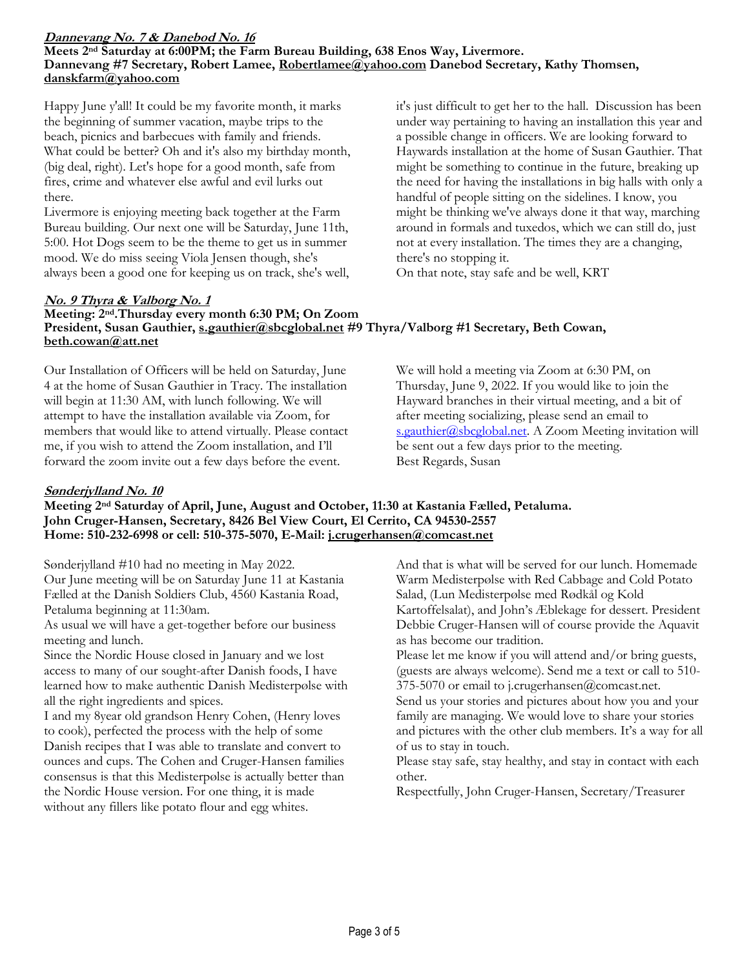# **Dannevang No. 7 & Danebod No. 16**

**Meets 2nd Saturday at 6:00PM; the Farm Bureau Building, 638 Enos Way, Livermore. Dannevang #7 Secretary, Robert Lamee[, Robertlamee@yahoo.com](mailto:Robertlamee@yahoo.com) Danebod Secretary, Kathy Thomsen, [danskfarm@yahoo.com](mailto:danskfarm@yahoo.com)**

Happy June y'all! It could be my favorite month, it marks the beginning of summer vacation, maybe trips to the beach, picnics and barbecues with family and friends. What could be better? Oh and it's also my birthday month, (big deal, right). Let's hope for a good month, safe from fires, crime and whatever else awful and evil lurks out there.

Livermore is enjoying meeting back together at the Farm Bureau building. Our next one will be Saturday, June 11th, 5:00. Hot Dogs seem to be the theme to get us in summer mood. We do miss seeing Viola Jensen though, she's always been a good one for keeping us on track, she's well, it's just difficult to get her to the hall. Discussion has been under way pertaining to having an installation this year and a possible change in officers. We are looking forward to Haywards installation at the home of Susan Gauthier. That might be something to continue in the future, breaking up the need for having the installations in big halls with only a handful of people sitting on the sidelines. I know, you might be thinking we've always done it that way, marching around in formals and tuxedos, which we can still do, just not at every installation. The times they are a changing, there's no stopping it.

On that note, stay safe and be well, KRT

# **No. 9 Thyra & Valborg No. 1**

#### **Meeting: 2nd.Thursday every month 6:30 PM; On Zoom President, Susan Gauthier, [s.gauthier@sbcglobal.net](mailto:s.gauthier@sbcglobal.net) #9 Thyra/Valborg #1 Secretary, Beth Cowan, [beth.cowan@att.net](mailto:beth.cowan@att.net)**

Our Installation of Officers will be held on Saturday, June 4 at the home of Susan Gauthier in Tracy. The installation will begin at 11:30 AM, with lunch following. We will attempt to have the installation available via Zoom, for members that would like to attend virtually. Please contact me, if you wish to attend the Zoom installation, and I'll forward the zoom invite out a few days before the event.

We will hold a meeting via Zoom at 6:30 PM, on Thursday, June 9, 2022. If you would like to join the Hayward branches in their virtual meeting, and a bit of after meeting socializing, please send an email to [s.gauthier@sbcglobal.net.](mailto:s.gauthier@sbcglobal.net) A Zoom Meeting invitation will be sent out a few days prior to the meeting. Best Regards, Susan

# **Sønderjylland No. 10**

### **Meeting 2nd Saturday of April, June, August and October, 11:30 at Kastania Fælled, Petaluma. John Cruger-Hansen, Secretary, 8426 Bel View Court, El Cerrito, CA 94530-2557 Home: 510-232-6998 or cell: 510-375-5070, E-Mail: [j.crugerhansen@comcast.net](mailto:j.crugerhansen@comcast.net)**

Sønderjylland #10 had no meeting in May 2022. Our June meeting will be on Saturday June 11 at Kastania Fælled at the Danish Soldiers Club, 4560 Kastania Road, Petaluma beginning at 11:30am.

As usual we will have a get-together before our business meeting and lunch.

Since the Nordic House closed in January and we lost access to many of our sought-after Danish foods, I have learned how to make authentic Danish Medisterpølse with all the right ingredients and spices.

I and my 8year old grandson Henry Cohen, (Henry loves to cook), perfected the process with the help of some Danish recipes that I was able to translate and convert to ounces and cups. The Cohen and Cruger-Hansen families consensus is that this Medisterpølse is actually better than the Nordic House version. For one thing, it is made without any fillers like potato flour and egg whites.

And that is what will be served for our lunch. Homemade Warm Medisterpølse with Red Cabbage and Cold Potato Salad, (Lun Medisterpølse med Rødkål og Kold Kartoffelsalat), and John's Æblekage for dessert. President Debbie Cruger-Hansen will of course provide the Aquavit as has become our tradition.

Please let me know if you will attend and/or bring guests, (guests are always welcome). Send me a text or call to 510- 375-5070 or email to j.crugerhansen@comcast.net.

Send us your stories and pictures about how you and your family are managing. We would love to share your stories and pictures with the other club members. It's a way for all of us to stay in touch.

Please stay safe, stay healthy, and stay in contact with each other.

Respectfully, John Cruger-Hansen, Secretary/Treasurer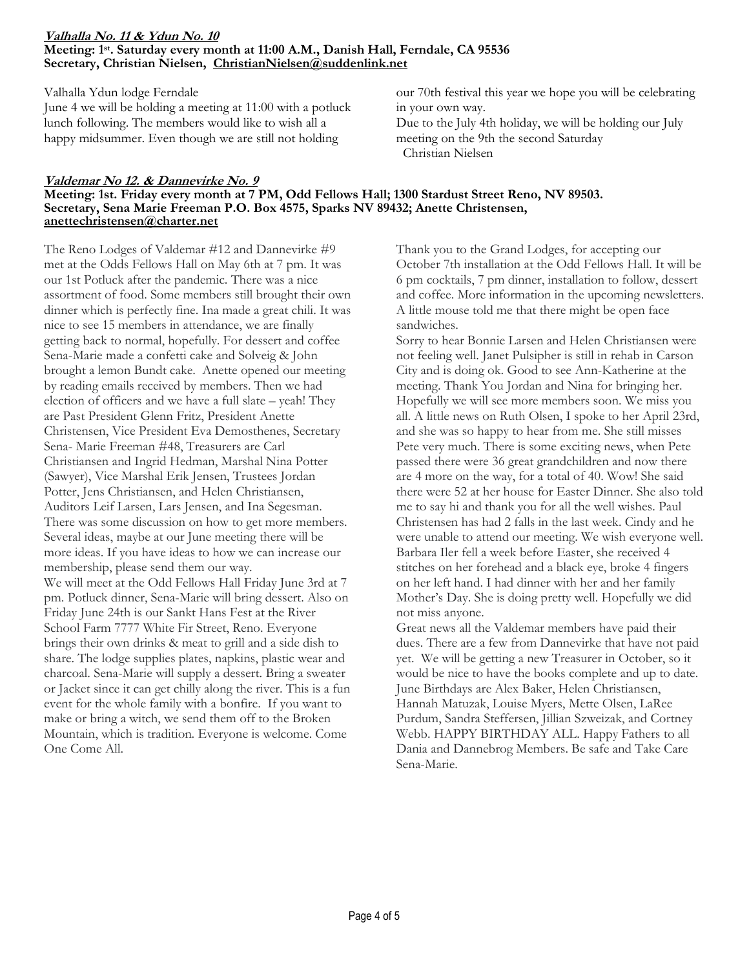#### **Valhalla No. 11 & Ydun No. 10 Meeting: 1st. Saturday every month at 11:00 A.M., Danish Hall, Ferndale, CA 95536 Secretary, Christian Nielsen, [ChristianNielsen@suddenlink.net](mailto:ChristianNielsen@suddenlink.net)**

Valhalla Ydun lodge Ferndale

June 4 we will be holding a meeting at 11:00 with a potluck lunch following. The members would like to wish all a happy midsummer. Even though we are still not holding

# **Valdemar No 12. & Dannevirke No. 9**

# **Meeting: 1st. Friday every month at 7 PM, Odd Fellows Hall; 1300 Stardust Street Reno, NV 89503. Secretary, Sena Marie Freeman P.O. Box 4575, Sparks NV 89432; Anette Christensen, anettechristensen@charter.net**

The Reno Lodges of Valdemar #12 and Dannevirke #9 met at the Odds Fellows Hall on May 6th at 7 pm. It was our 1st Potluck after the pandemic. There was a nice assortment of food. Some members still brought their own dinner which is perfectly fine. Ina made a great chili. It was nice to see 15 members in attendance, we are finally getting back to normal, hopefully. For dessert and coffee Sena-Marie made a confetti cake and Solveig & John brought a lemon Bundt cake. Anette opened our meeting by reading emails received by members. Then we had election of officers and we have a full slate – yeah! They are Past President Glenn Fritz, President Anette Christensen, Vice President Eva Demosthenes, Secretary Sena- Marie Freeman #48, Treasurers are Carl Christiansen and Ingrid Hedman, Marshal Nina Potter (Sawyer), Vice Marshal Erik Jensen, Trustees Jordan Potter, Jens Christiansen, and Helen Christiansen, Auditors Leif Larsen, Lars Jensen, and Ina Segesman. There was some discussion on how to get more members. Several ideas, maybe at our June meeting there will be more ideas. If you have ideas to how we can increase our membership, please send them our way. We will meet at the Odd Fellows Hall Friday June 3rd at 7 pm. Potluck dinner, Sena-Marie will bring dessert. Also on Friday June 24th is our Sankt Hans Fest at the River School Farm 7777 White Fir Street, Reno. Everyone brings their own drinks & meat to grill and a side dish to share. The lodge supplies plates, napkins, plastic wear and charcoal. Sena-Marie will supply a dessert. Bring a sweater or Jacket since it can get chilly along the river. This is a fun event for the whole family with a bonfire. If you want to make or bring a witch, we send them off to the Broken Mountain, which is tradition. Everyone is welcome. Come One Come All.

our 70th festival this year we hope you will be celebrating in your own way.

Due to the July 4th holiday, we will be holding our July meeting on the 9th the second Saturday Christian Nielsen

Thank you to the Grand Lodges, for accepting our October 7th installation at the Odd Fellows Hall. It will be 6 pm cocktails, 7 pm dinner, installation to follow, dessert and coffee. More information in the upcoming newsletters. A little mouse told me that there might be open face sandwiches.

Sorry to hear Bonnie Larsen and Helen Christiansen were not feeling well. Janet Pulsipher is still in rehab in Carson City and is doing ok. Good to see Ann-Katherine at the meeting. Thank You Jordan and Nina for bringing her. Hopefully we will see more members soon. We miss you all. A little news on Ruth Olsen, I spoke to her April 23rd, and she was so happy to hear from me. She still misses Pete very much. There is some exciting news, when Pete passed there were 36 great grandchildren and now there are 4 more on the way, for a total of 40. Wow! She said there were 52 at her house for Easter Dinner. She also told me to say hi and thank you for all the well wishes. Paul Christensen has had 2 falls in the last week. Cindy and he were unable to attend our meeting. We wish everyone well. Barbara Iler fell a week before Easter, she received 4 stitches on her forehead and a black eye, broke 4 fingers on her left hand. I had dinner with her and her family Mother's Day. She is doing pretty well. Hopefully we did not miss anyone.

Great news all the Valdemar members have paid their dues. There are a few from Dannevirke that have not paid yet. We will be getting a new Treasurer in October, so it would be nice to have the books complete and up to date. June Birthdays are Alex Baker, Helen Christiansen, Hannah Matuzak, Louise Myers, Mette Olsen, LaRee Purdum, Sandra Steffersen, Jillian Szweizak, and Cortney Webb. HAPPY BIRTHDAY ALL. Happy Fathers to all Dania and Dannebrog Members. Be safe and Take Care Sena-Marie.